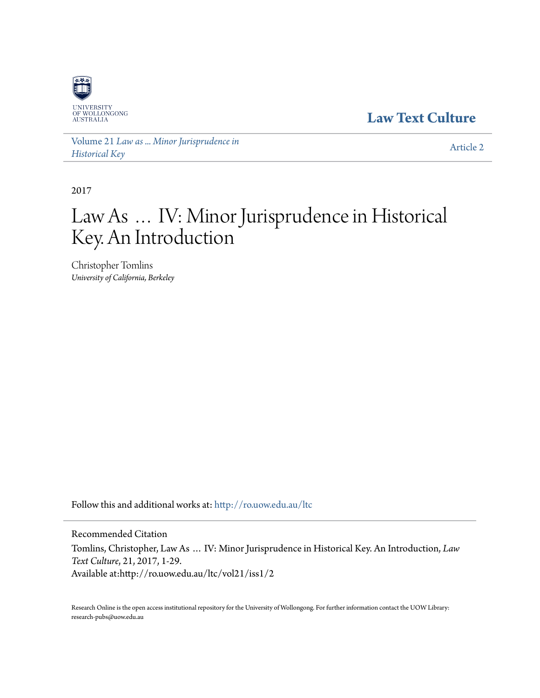

**[Law Text Culture](http://ro.uow.edu.au/ltc?utm_source=ro.uow.edu.au%2Fltc%2Fvol21%2Fiss1%2F2&utm_medium=PDF&utm_campaign=PDFCoverPages)**

Volume 21 *[Law as ... Minor Jurisprudence in](http://ro.uow.edu.au/ltc/vol21?utm_source=ro.uow.edu.au%2Fltc%2Fvol21%2Fiss1%2F2&utm_medium=PDF&utm_campaign=PDFCoverPages) [Historical Key](http://ro.uow.edu.au/ltc/vol21?utm_source=ro.uow.edu.au%2Fltc%2Fvol21%2Fiss1%2F2&utm_medium=PDF&utm_campaign=PDFCoverPages)*

[Article 2](http://ro.uow.edu.au/ltc/vol21/iss1/2?utm_source=ro.uow.edu.au%2Fltc%2Fvol21%2Fiss1%2F2&utm_medium=PDF&utm_campaign=PDFCoverPages)

2017

# Law As … IV: Minor Jurisprudence in Historical Key. An Introduction

Christopher Tomlins *University of California, Berkeley*

Follow this and additional works at: [http://ro.uow.edu.au/ltc](http://ro.uow.edu.au/ltc?utm_source=ro.uow.edu.au%2Fltc%2Fvol21%2Fiss1%2F2&utm_medium=PDF&utm_campaign=PDFCoverPages)

Recommended Citation

Tomlins, Christopher, Law As … IV: Minor Jurisprudence in Historical Key. An Introduction, *Law Text Culture*, 21, 2017, 1-29. Available at:http://ro.uow.edu.au/ltc/vol21/iss1/2

Research Online is the open access institutional repository for the University of Wollongong. For further information contact the UOW Library: research-pubs@uow.edu.au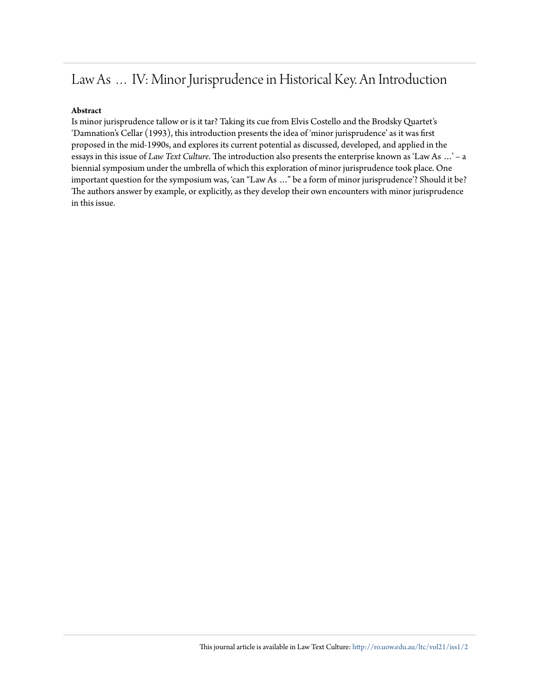## Law As … IV: Minor Jurisprudence in Historical Key. An Introduction

### **Abstract**

Is minor jurisprudence tallow or is it tar? Taking its cue from Elvis Costello and the Brodsky Quartet's 'Damnation's Cellar (1993), this introduction presents the idea of 'minor jurisprudence' as it was first proposed in the mid-1990s, and explores its current potential as discussed, developed, and applied in the essays in this issue of *Law Text Culture*. The introduction also presents the enterprise known as 'Law As …' – a biennial symposium under the umbrella of which this exploration of minor jurisprudence took place. One important question for the symposium was, 'can "Law As …" be a form of minor jurisprudence'? Should it be? The authors answer by example, or explicitly, as they develop their own encounters with minor jurisprudence in this issue.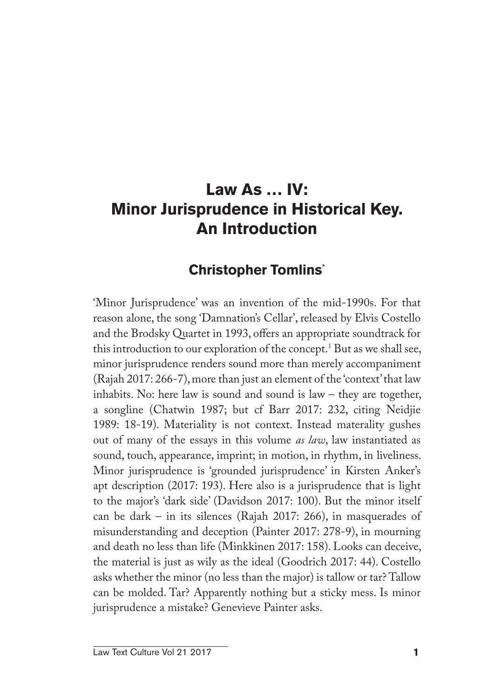## **Law As … IV: Minor Jurisprudence in Historical Key. An Introduction**

## **Christopher Tomlins**\*

'Minor Jurisprudence' was an invention of the mid-1990s. For that reason alone, the song 'Damnation's Cellar', released by Elvis Costello and the Brodsky Quartet in 1993, offers an appropriate soundtrack for this introduction to our exploration of the concept.<sup>1</sup> But as we shall see, minor jurisprudence renders sound more than merely accompaniment (Rajah 2017: 266-7), more than just an element of the 'context' that law inhabits. No: here law is sound and sound is law – they are together, a songline (Chatwin 1987; but cf Barr 2017: 232, citing Neidjie 1989: 18-19). Materiality is not context. Instead materality gushes out of many of the essays in this volume *as law*, law instantiated as sound, touch, appearance, imprint; in motion, in rhythm, in liveliness. Minor jurisprudence is 'grounded jurisprudence' in Kirsten Anker's apt description (2017: 193). Here also is a jurisprudence that is light to the major's 'dark side' (Davidson 2017: 100). But the minor itself can be dark – in its silences (Rajah 2017: 266), in masquerades of misunderstanding and deception (Painter 2017: 278-9), in mourning and death no less than life (Minkkinen 2017: 158). Looks can deceive, the material is just as wily as the ideal (Goodrich 2017: 44). Costello asks whether the minor (no less than the major) is tallow or tar? Tallow can be molded. Tar? Apparently nothing but a sticky mess. Is minor jurisprudence a mistake? Genevieve Painter asks.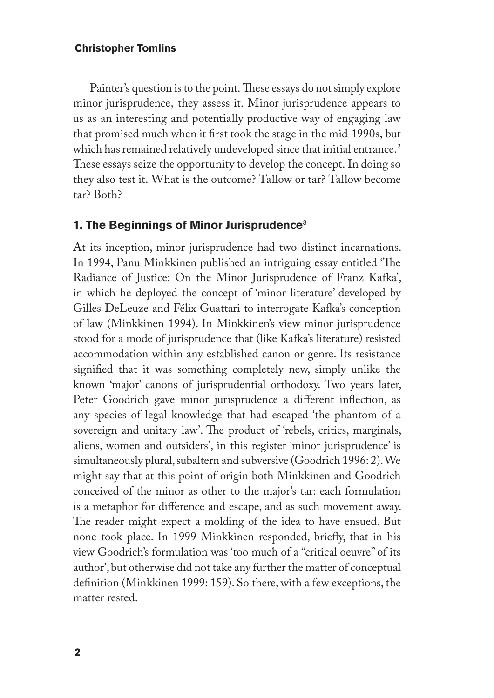Painter's question is to the point. These essays do not simply explore minor jurisprudence, they assess it. Minor jurisprudence appears to us as an interesting and potentially productive way of engaging law that promised much when it first took the stage in the mid-1990s, but which has remained relatively undeveloped since that initial entrance.<sup>2</sup> These essays seize the opportunity to develop the concept. In doing so they also test it. What is the outcome? Tallow or tar? Tallow become tar? Both?

#### **1. The Beginnings of Minor Jurisprudence**<sup>3</sup>

At its inception, minor jurisprudence had two distinct incarnations. In 1994, Panu Minkkinen published an intriguing essay entitled 'The Radiance of Justice: On the Minor Jurisprudence of Franz Kafka', in which he deployed the concept of 'minor literature' developed by Gilles DeLeuze and Félix Guattari to interrogate Kafka's conception of law (Minkkinen 1994). In Minkkinen's view minor jurisprudence stood for a mode of jurisprudence that (like Kafka's literature) resisted accommodation within any established canon or genre. Its resistance signified that it was something completely new, simply unlike the known 'major' canons of jurisprudential orthodoxy. Two years later, Peter Goodrich gave minor jurisprudence a different inflection, as any species of legal knowledge that had escaped 'the phantom of a sovereign and unitary law'. The product of 'rebels, critics, marginals, aliens, women and outsiders', in this register 'minor jurisprudence' is simultaneously plural, subaltern and subversive (Goodrich 1996: 2). We might say that at this point of origin both Minkkinen and Goodrich conceived of the minor as other to the major's tar: each formulation is a metaphor for difference and escape, and as such movement away. The reader might expect a molding of the idea to have ensued. But none took place. In 1999 Minkkinen responded, briefly, that in his view Goodrich's formulation was 'too much of a "critical oeuvre" of its author', but otherwise did not take any further the matter of conceptual definition (Minkkinen 1999: 159). So there, with a few exceptions, the matter rested.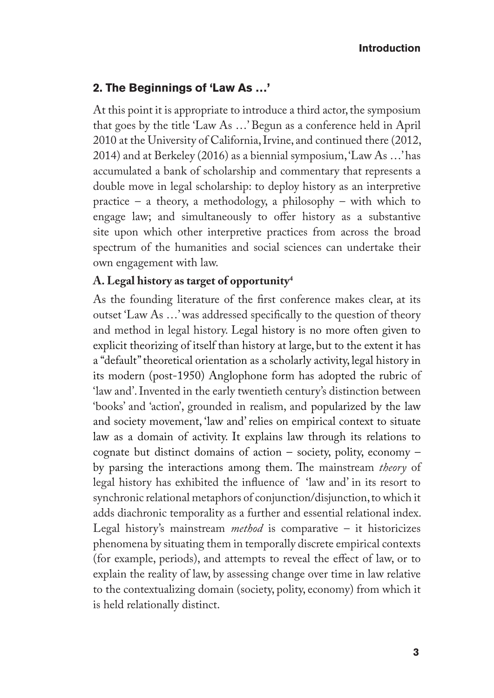#### **2. The Beginnings of 'Law As …'**

At this point it is appropriate to introduce a third actor, the symposium that goes by the title 'Law As …' Begun as a conference held in April 2010 at the University of California, Irvine, and continued there (2012, 2014) and at Berkeley (2016) as a biennial symposium, 'Law As …' has accumulated a bank of scholarship and commentary that represents a double move in legal scholarship: to deploy history as an interpretive practice – a theory, a methodology, a philosophy – with which to engage law; and simultaneously to offer history as a substantive site upon which other interpretive practices from across the broad spectrum of the humanities and social sciences can undertake their own engagement with law.

### **A. Legal history as target of opportunity4**

As the founding literature of the first conference makes clear, at its outset 'Law As …' was addressed specifically to the question of theory and method in legal history. Legal history is no more often given to explicit theorizing of itself than history at large, but to the extent it has a "default" theoretical orientation as a scholarly activity, legal history in its modern (post-1950) Anglophone form has adopted the rubric of 'law and'. Invented in the early twentieth century's distinction between 'books' and 'action', grounded in realism, and popularized by the law and society movement, 'law and' relies on empirical context to situate law as a domain of activity. It explains law through its relations to cognate but distinct domains of action – society, polity, economy – by parsing the interactions among them. The mainstream *theory* of legal history has exhibited the influence of 'law and' in its resort to synchronic relational metaphors of conjunction/disjunction, to which it adds diachronic temporality as a further and essential relational index. Legal history's mainstream *method* is comparative – it historicizes phenomena by situating them in temporally discrete empirical contexts (for example, periods), and attempts to reveal the effect of law, or to explain the reality of law, by assessing change over time in law relative to the contextualizing domain (society, polity, economy) from which it is held relationally distinct.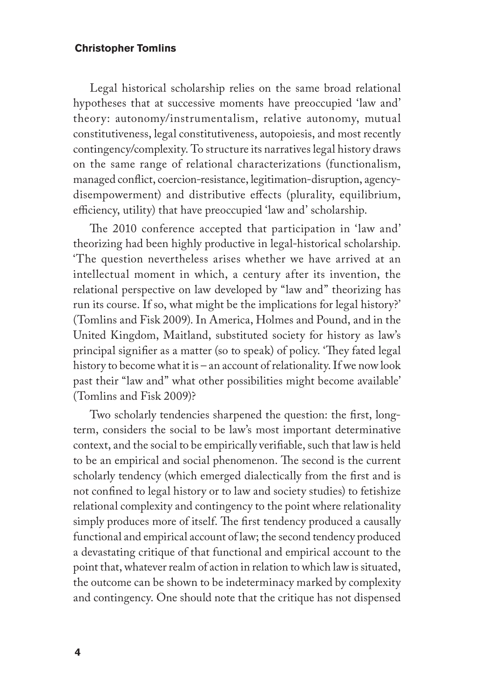Legal historical scholarship relies on the same broad relational hypotheses that at successive moments have preoccupied 'law and' theory: autonomy/instrumentalism, relative autonomy, mutual constitutiveness, legal constitutiveness, autopoiesis, and most recently contingency/complexity. To structure its narratives legal history draws on the same range of relational characterizations (functionalism, managed conflict, coercion-resistance, legitimation-disruption, agencydisempowerment) and distributive effects (plurality, equilibrium, efficiency, utility) that have preoccupied 'law and' scholarship.

The 2010 conference accepted that participation in 'law and' theorizing had been highly productive in legal-historical scholarship. 'The question nevertheless arises whether we have arrived at an intellectual moment in which, a century after its invention, the relational perspective on law developed by "law and" theorizing has run its course. If so, what might be the implications for legal history?' (Tomlins and Fisk 2009). In America, Holmes and Pound, and in the United Kingdom, Maitland, substituted society for history as law's principal signifier as a matter (so to speak) of policy. 'They fated legal history to become what it is – an account of relationality. If we now look past their "law and" what other possibilities might become available' (Tomlins and Fisk 2009)?

Two scholarly tendencies sharpened the question: the first, longterm, considers the social to be law's most important determinative context, and the social to be empirically verifiable, such that law is held to be an empirical and social phenomenon. The second is the current scholarly tendency (which emerged dialectically from the first and is not confined to legal history or to law and society studies) to fetishize relational complexity and contingency to the point where relationality simply produces more of itself. The first tendency produced a causally functional and empirical account of law; the second tendency produced a devastating critique of that functional and empirical account to the point that, whatever realm of action in relation to which law is situated, the outcome can be shown to be indeterminacy marked by complexity and contingency. One should note that the critique has not dispensed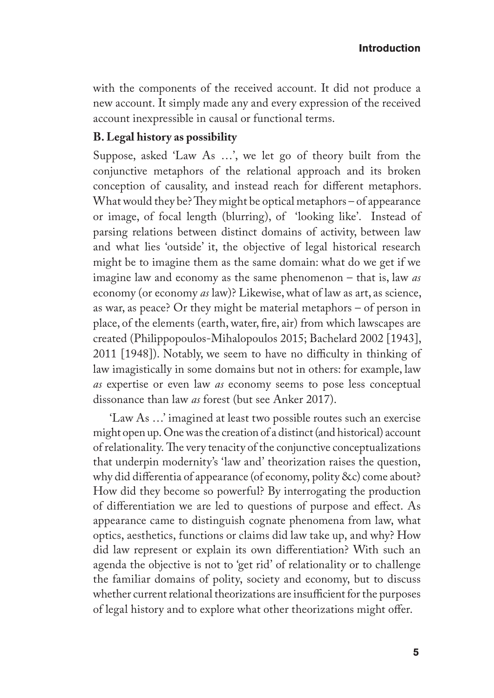with the components of the received account. It did not produce a new account. It simply made any and every expression of the received account inexpressible in causal or functional terms.

#### **B. Legal history as possibility**

Suppose, asked 'Law As …', we let go of theory built from the conjunctive metaphors of the relational approach and its broken conception of causality, and instead reach for different metaphors. What would they be? They might be optical metaphors – of appearance or image, of focal length (blurring), of 'looking like'. Instead of parsing relations between distinct domains of activity, between law and what lies 'outside' it, the objective of legal historical research might be to imagine them as the same domain: what do we get if we imagine law and economy as the same phenomenon – that is, law *as* economy (or economy *as* law)? Likewise, what of law as art, as science, as war, as peace? Or they might be material metaphors – of person in place, of the elements (earth, water, fire, air) from which lawscapes are created (Philippopoulos-Mihalopoulos 2015; Bachelard 2002 [1943], 2011 [1948]). Notably, we seem to have no difficulty in thinking of law imagistically in some domains but not in others: for example, law *as* expertise or even law *as* economy seems to pose less conceptual dissonance than law *as* forest (but see Anker 2017).

'Law As …' imagined at least two possible routes such an exercise might open up. One was the creation of a distinct (and historical) account of relationality. The very tenacity of the conjunctive conceptualizations that underpin modernity's 'law and' theorization raises the question, why did differentia of appearance (of economy, polity &c) come about? How did they become so powerful? By interrogating the production of differentiation we are led to questions of purpose and effect. As appearance came to distinguish cognate phenomena from law, what optics, aesthetics, functions or claims did law take up, and why? How did law represent or explain its own differentiation? With such an agenda the objective is not to 'get rid' of relationality or to challenge the familiar domains of polity, society and economy, but to discuss whether current relational theorizations are insufficient for the purposes of legal history and to explore what other theorizations might offer.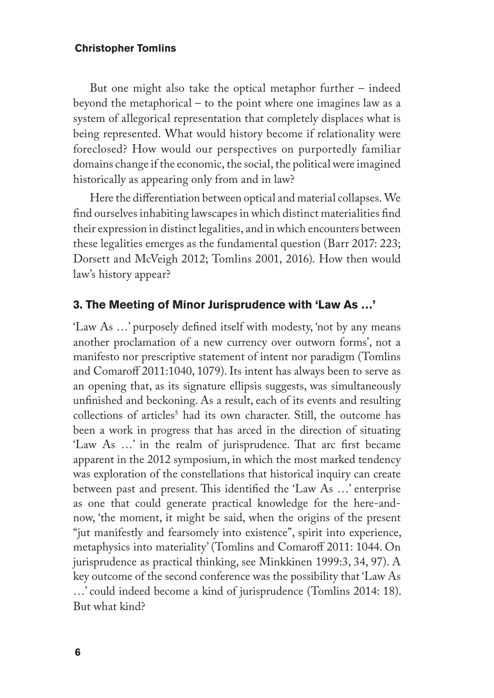But one might also take the optical metaphor further – indeed beyond the metaphorical – to the point where one imagines law as a system of allegorical representation that completely displaces what is being represented. What would history become if relationality were foreclosed? How would our perspectives on purportedly familiar domains change if the economic, the social, the political were imagined historically as appearing only from and in law?

Here the differentiation between optical and material collapses. We find ourselves inhabiting lawscapes in which distinct materialities find their expression in distinct legalities, and in which encounters between these legalities emerges as the fundamental question (Barr 2017: 223; Dorsett and McVeigh 2012; Tomlins 2001, 2016). How then would law's history appear?

#### **3. The Meeting of Minor Jurisprudence with 'Law As …'**

'Law As …' purposely defined itself with modesty, 'not by any means another proclamation of a new currency over outworn forms', not a manifesto nor prescriptive statement of intent nor paradigm (Tomlins and Comaroff 2011:1040, 1079). Its intent has always been to serve as an opening that, as its signature ellipsis suggests, was simultaneously unfinished and beckoning. As a result, each of its events and resulting collections of articles<sup>5</sup> had its own character. Still, the outcome has been a work in progress that has arced in the direction of situating 'Law As …' in the realm of jurisprudence. That arc first became apparent in the 2012 symposium, in which the most marked tendency was exploration of the constellations that historical inquiry can create between past and present. This identified the 'Law As …' enterprise as one that could generate practical knowledge for the here-andnow, 'the moment, it might be said, when the origins of the present "jut manifestly and fearsomely into existence", spirit into experience, metaphysics into materiality' (Tomlins and Comaroff 2011: 1044. On jurisprudence as practical thinking, see Minkkinen 1999:3, 34, 97). A key outcome of the second conference was the possibility that 'Law As …' could indeed become a kind of jurisprudence (Tomlins 2014: 18). But what kind?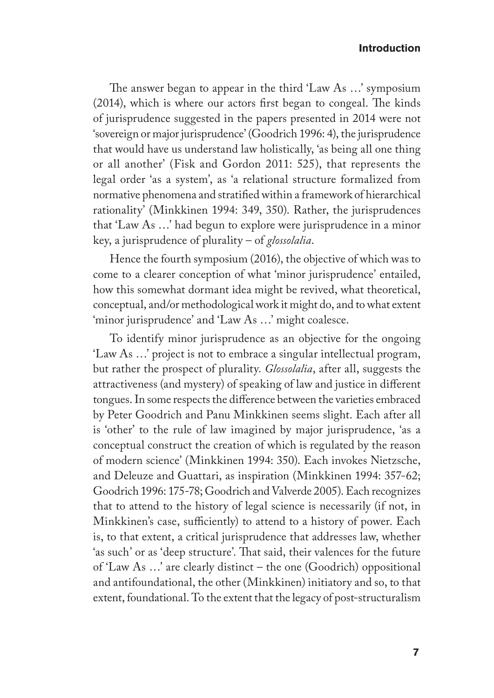The answer began to appear in the third 'Law As …' symposium (2014), which is where our actors first began to congeal. The kinds of jurisprudence suggested in the papers presented in 2014 were not 'sovereign or major jurisprudence' (Goodrich 1996: 4), the jurisprudence that would have us understand law holistically, 'as being all one thing or all another' (Fisk and Gordon 2011: 525), that represents the legal order 'as a system', as 'a relational structure formalized from normative phenomena and stratified within a framework of hierarchical rationality' (Minkkinen 1994: 349, 350). Rather, the jurisprudences that 'Law As …' had begun to explore were jurisprudence in a minor key, a jurisprudence of plurality – of *glossolalia*.

Hence the fourth symposium (2016), the objective of which was to come to a clearer conception of what 'minor jurisprudence' entailed, how this somewhat dormant idea might be revived, what theoretical, conceptual, and/or methodological work it might do, and to what extent 'minor jurisprudence' and 'Law As …' might coalesce.

To identify minor jurisprudence as an objective for the ongoing 'Law As …' project is not to embrace a singular intellectual program, but rather the prospect of plurality. *Glossolalia*, after all, suggests the attractiveness (and mystery) of speaking of law and justice in different tongues. In some respects the difference between the varieties embraced by Peter Goodrich and Panu Minkkinen seems slight. Each after all is 'other' to the rule of law imagined by major jurisprudence, 'as a conceptual construct the creation of which is regulated by the reason of modern science' (Minkkinen 1994: 350). Each invokes Nietzsche, and Deleuze and Guattari, as inspiration (Minkkinen 1994: 357-62; Goodrich 1996: 175-78; Goodrich and Valverde 2005). Each recognizes that to attend to the history of legal science is necessarily (if not, in Minkkinen's case, sufficiently) to attend to a history of power. Each is, to that extent, a critical jurisprudence that addresses law, whether 'as such' or as 'deep structure'. That said, their valences for the future of 'Law As …' are clearly distinct – the one (Goodrich) oppositional and antifoundational, the other (Minkkinen) initiatory and so, to that extent, foundational. To the extent that the legacy of post-structuralism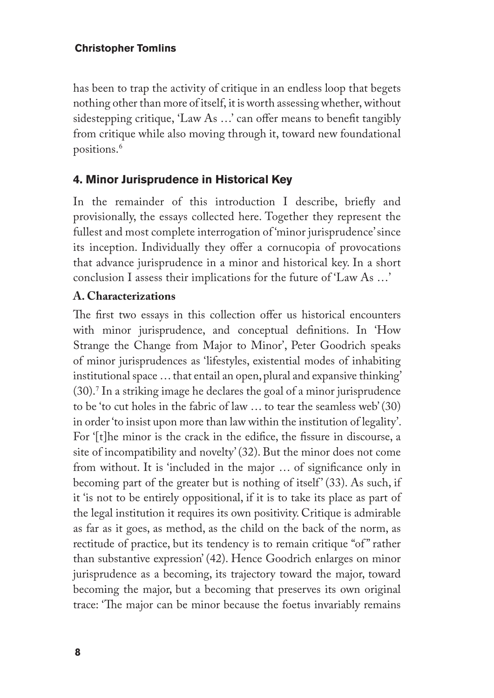has been to trap the activity of critique in an endless loop that begets nothing other than more of itself, it is worth assessing whether, without sidestepping critique, 'Law As …' can offer means to benefit tangibly from critique while also moving through it, toward new foundational positions.<sup>6</sup>

## **4. Minor Jurisprudence in Historical Key**

In the remainder of this introduction I describe, briefly and provisionally, the essays collected here. Together they represent the fullest and most complete interrogation of 'minor jurisprudence' since its inception. Individually they offer a cornucopia of provocations that advance jurisprudence in a minor and historical key. In a short conclusion I assess their implications for the future of 'Law As …'

## **A. Characterizations**

The first two essays in this collection offer us historical encounters with minor jurisprudence, and conceptual definitions. In 'How Strange the Change from Major to Minor', Peter Goodrich speaks of minor jurisprudences as 'lifestyles, existential modes of inhabiting institutional space … that entail an open, plural and expansive thinking' (30).<sup>7</sup> In a striking image he declares the goal of a minor jurisprudence to be 'to cut holes in the fabric of law … to tear the seamless web' (30) in order 'to insist upon more than law within the institution of legality'. For '[t]he minor is the crack in the edifice, the fissure in discourse, a site of incompatibility and novelty' (32). But the minor does not come from without. It is 'included in the major … of significance only in becoming part of the greater but is nothing of itself' (33). As such, if it 'is not to be entirely oppositional, if it is to take its place as part of the legal institution it requires its own positivity. Critique is admirable as far as it goes, as method, as the child on the back of the norm, as rectitude of practice, but its tendency is to remain critique "of" rather than substantive expression' (42). Hence Goodrich enlarges on minor jurisprudence as a becoming, its trajectory toward the major, toward becoming the major, but a becoming that preserves its own original trace: 'The major can be minor because the foetus invariably remains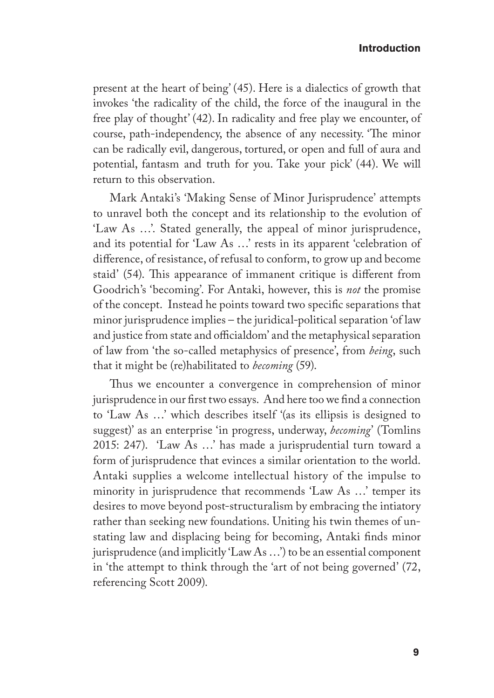present at the heart of being' (45). Here is a dialectics of growth that invokes 'the radicality of the child, the force of the inaugural in the free play of thought' (42). In radicality and free play we encounter, of course, path-independency, the absence of any necessity. 'The minor can be radically evil, dangerous, tortured, or open and full of aura and potential, fantasm and truth for you. Take your pick' (44). We will return to this observation.

Mark Antaki's 'Making Sense of Minor Jurisprudence' attempts to unravel both the concept and its relationship to the evolution of 'Law As …'. Stated generally, the appeal of minor jurisprudence, and its potential for 'Law As …' rests in its apparent 'celebration of difference, of resistance, of refusal to conform, to grow up and become staid' (54). This appearance of immanent critique is different from Goodrich's 'becoming'. For Antaki, however, this is *not* the promise of the concept. Instead he points toward two specific separations that minor jurisprudence implies – the juridical-political separation 'of law and justice from state and officialdom' and the metaphysical separation of law from 'the so-called metaphysics of presence', from *being*, such that it might be (re)habilitated to *becoming* (59).

Thus we encounter a convergence in comprehension of minor jurisprudence in our first two essays. And here too we find a connection to 'Law As …' which describes itself '(as its ellipsis is designed to suggest)' as an enterprise 'in progress, underway, *becoming*' (Tomlins 2015: 247). 'Law As …' has made a jurisprudential turn toward a form of jurisprudence that evinces a similar orientation to the world. Antaki supplies a welcome intellectual history of the impulse to minority in jurisprudence that recommends 'Law As …' temper its desires to move beyond post-structuralism by embracing the intiatory rather than seeking new foundations. Uniting his twin themes of unstating law and displacing being for becoming, Antaki finds minor jurisprudence (and implicitly 'Law As …') to be an essential component in 'the attempt to think through the 'art of not being governed' (72, referencing Scott 2009).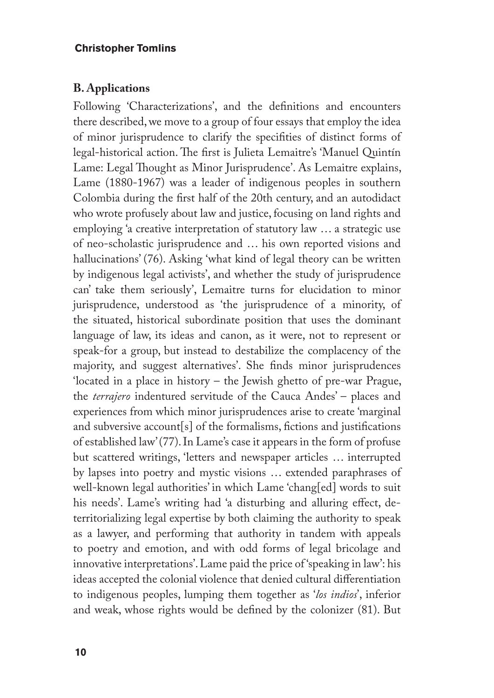#### **B. Applications**

Following 'Characterizations', and the definitions and encounters there described, we move to a group of four essays that employ the idea of minor jurisprudence to clarify the specifities of distinct forms of legal-historical action. The first is Julieta Lemaitre's 'Manuel Quintín Lame: Legal Thought as Minor Jurisprudence'. As Lemaitre explains, Lame (1880-1967) was a leader of indigenous peoples in southern Colombia during the first half of the 20th century, and an autodidact who wrote profusely about law and justice, focusing on land rights and employing 'a creative interpretation of statutory law … a strategic use of neo-scholastic jurisprudence and … his own reported visions and hallucinations' (76). Asking 'what kind of legal theory can be written by indigenous legal activists', and whether the study of jurisprudence can' take them seriously', Lemaitre turns for elucidation to minor jurisprudence, understood as 'the jurisprudence of a minority, of the situated, historical subordinate position that uses the dominant language of law, its ideas and canon, as it were, not to represent or speak-for a group, but instead to destabilize the complacency of the majority, and suggest alternatives'. She finds minor jurisprudences 'located in a place in history – the Jewish ghetto of pre-war Prague, the *terrajero* indentured servitude of the Cauca Andes' – places and experiences from which minor jurisprudences arise to create 'marginal and subversive account[s] of the formalisms, fictions and justifications of established law' (77). In Lame's case it appears in the form of profuse but scattered writings, 'letters and newspaper articles … interrupted by lapses into poetry and mystic visions … extended paraphrases of well-known legal authorities' in which Lame 'chang[ed] words to suit his needs'. Lame's writing had 'a disturbing and alluring effect, deterritorializing legal expertise by both claiming the authority to speak as a lawyer, and performing that authority in tandem with appeals to poetry and emotion, and with odd forms of legal bricolage and innovative interpretations'. Lame paid the price of 'speaking in law': his ideas accepted the colonial violence that denied cultural differentiation to indigenous peoples, lumping them together as '*los indios*', inferior and weak, whose rights would be defined by the colonizer (81). But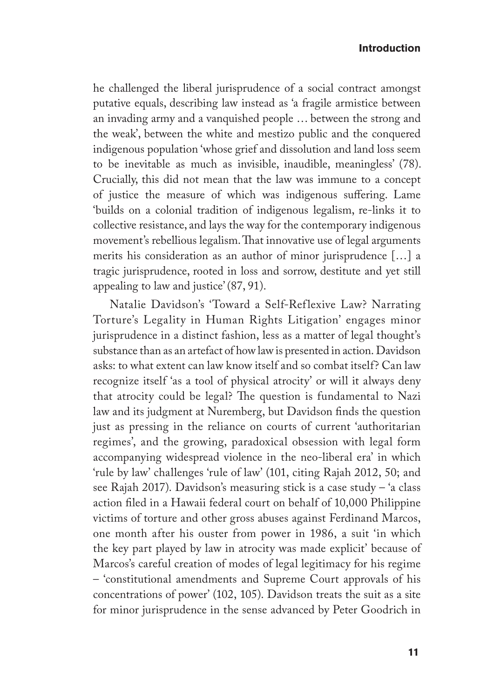he challenged the liberal jurisprudence of a social contract amongst putative equals, describing law instead as 'a fragile armistice between an invading army and a vanquished people … between the strong and the weak', between the white and mestizo public and the conquered indigenous population 'whose grief and dissolution and land loss seem to be inevitable as much as invisible, inaudible, meaningless' (78). Crucially, this did not mean that the law was immune to a concept of justice the measure of which was indigenous suffering. Lame 'builds on a colonial tradition of indigenous legalism, re-links it to collective resistance, and lays the way for the contemporary indigenous movement's rebellious legalism. That innovative use of legal arguments merits his consideration as an author of minor jurisprudence […] a tragic jurisprudence, rooted in loss and sorrow, destitute and yet still appealing to law and justice' (87, 91).

Natalie Davidson's 'Toward a Self-Reflexive Law? Narrating Torture's Legality in Human Rights Litigation' engages minor jurisprudence in a distinct fashion, less as a matter of legal thought's substance than as an artefact of how law is presented in action. Davidson asks: to what extent can law know itself and so combat itself? Can law recognize itself 'as a tool of physical atrocity' or will it always deny that atrocity could be legal? The question is fundamental to Nazi law and its judgment at Nuremberg, but Davidson finds the question just as pressing in the reliance on courts of current 'authoritarian regimes', and the growing, paradoxical obsession with legal form accompanying widespread violence in the neo-liberal era' in which 'rule by law' challenges 'rule of law' (101, citing Rajah 2012, 50; and see Rajah 2017). Davidson's measuring stick is a case study – 'a class action filed in a Hawaii federal court on behalf of 10,000 Philippine victims of torture and other gross abuses against Ferdinand Marcos, one month after his ouster from power in 1986, a suit 'in which the key part played by law in atrocity was made explicit' because of Marcos's careful creation of modes of legal legitimacy for his regime – 'constitutional amendments and Supreme Court approvals of his concentrations of power' (102, 105). Davidson treats the suit as a site for minor jurisprudence in the sense advanced by Peter Goodrich in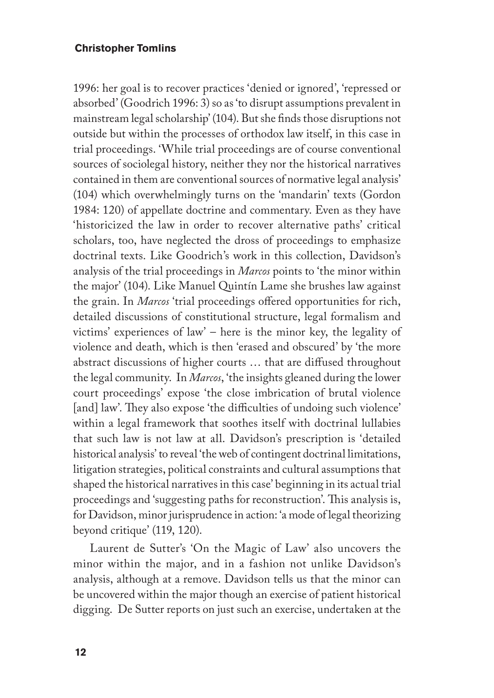1996: her goal is to recover practices 'denied or ignored', 'repressed or absorbed' (Goodrich 1996: 3) so as 'to disrupt assumptions prevalent in mainstream legal scholarship' (104). But she finds those disruptions not outside but within the processes of orthodox law itself, in this case in trial proceedings. 'While trial proceedings are of course conventional sources of sociolegal history, neither they nor the historical narratives contained in them are conventional sources of normative legal analysis' (104) which overwhelmingly turns on the 'mandarin' texts (Gordon 1984: 120) of appellate doctrine and commentary. Even as they have 'historicized the law in order to recover alternative paths' critical scholars, too, have neglected the dross of proceedings to emphasize doctrinal texts. Like Goodrich's work in this collection, Davidson's analysis of the trial proceedings in *Marcos* points to 'the minor within the major' (104). Like Manuel Quintín Lame she brushes law against the grain. In *Marcos* 'trial proceedings offered opportunities for rich, detailed discussions of constitutional structure, legal formalism and victims' experiences of law' – here is the minor key, the legality of violence and death, which is then 'erased and obscured' by 'the more abstract discussions of higher courts … that are diffused throughout the legal community. In *Marcos*, 'the insights gleaned during the lower court proceedings' expose 'the close imbrication of brutal violence [and] law'. They also expose 'the difficulties of undoing such violence' within a legal framework that soothes itself with doctrinal lullabies that such law is not law at all. Davidson's prescription is 'detailed historical analysis' to reveal 'the web of contingent doctrinal limitations, litigation strategies, political constraints and cultural assumptions that shaped the historical narratives in this case' beginning in its actual trial proceedings and 'suggesting paths for reconstruction'. This analysis is, for Davidson, minor jurisprudence in action: 'a mode of legal theorizing beyond critique' (119, 120).

Laurent de Sutter's 'On the Magic of Law' also uncovers the minor within the major, and in a fashion not unlike Davidson's analysis, although at a remove. Davidson tells us that the minor can be uncovered within the major though an exercise of patient historical digging. De Sutter reports on just such an exercise, undertaken at the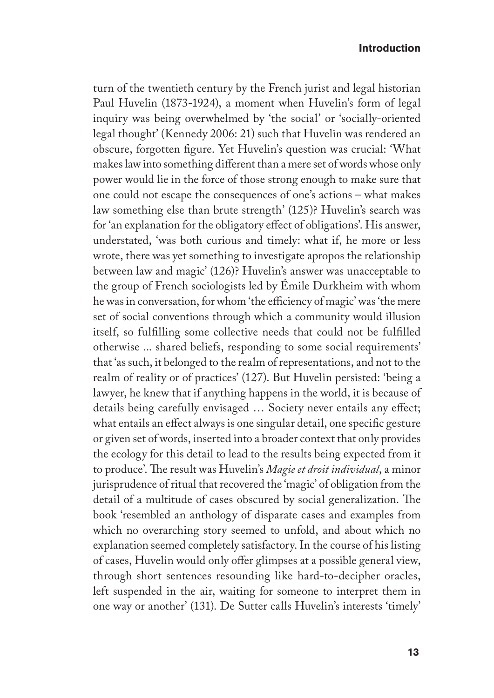turn of the twentieth century by the French jurist and legal historian Paul Huvelin (1873-1924), a moment when Huvelin's form of legal inquiry was being overwhelmed by 'the social' or 'socially-oriented legal thought' (Kennedy 2006: 21) such that Huvelin was rendered an obscure, forgotten figure. Yet Huvelin's question was crucial: 'What makes law into something different than a mere set of words whose only power would lie in the force of those strong enough to make sure that one could not escape the consequences of one's actions – what makes law something else than brute strength' (125)? Huvelin's search was for 'an explanation for the obligatory effect of obligations'. His answer, understated, 'was both curious and timely: what if, he more or less wrote, there was yet something to investigate apropos the relationship between law and magic' (126)? Huvelin's answer was unacceptable to the group of French sociologists led by Émile Durkheim with whom he was in conversation, for whom 'the efficiency of magic' was 'the mere set of social conventions through which a community would illusion itself, so fulfilling some collective needs that could not be fulfilled otherwise ... shared beliefs, responding to some social requirements' that 'as such, it belonged to the realm of representations, and not to the realm of reality or of practices' (127). But Huvelin persisted: 'being a lawyer, he knew that if anything happens in the world, it is because of details being carefully envisaged … Society never entails any effect; what entails an effect always is one singular detail, one specific gesture or given set of words, inserted into a broader context that only provides the ecology for this detail to lead to the results being expected from it to produce'. The result was Huvelin's *Magie et droit individual*, a minor jurisprudence of ritual that recovered the 'magic' of obligation from the detail of a multitude of cases obscured by social generalization. The book 'resembled an anthology of disparate cases and examples from which no overarching story seemed to unfold, and about which no explanation seemed completely satisfactory. In the course of his listing of cases, Huvelin would only offer glimpses at a possible general view, through short sentences resounding like hard-to-decipher oracles, left suspended in the air, waiting for someone to interpret them in one way or another' (131). De Sutter calls Huvelin's interests 'timely'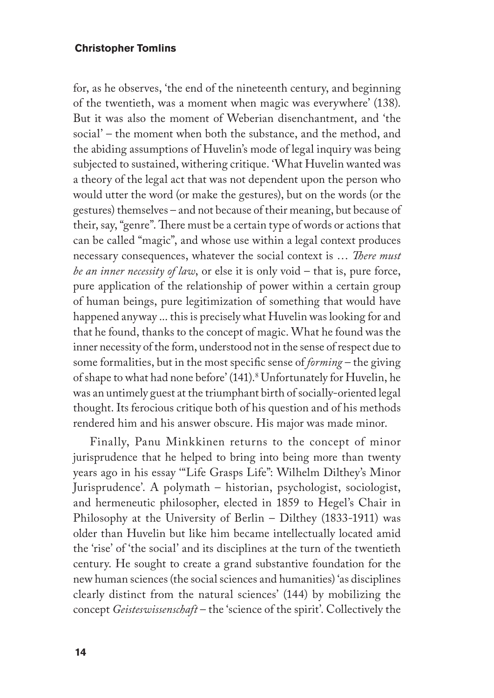for, as he observes, 'the end of the nineteenth century, and beginning of the twentieth, was a moment when magic was everywhere' (138). But it was also the moment of Weberian disenchantment, and 'the social' – the moment when both the substance, and the method, and the abiding assumptions of Huvelin's mode of legal inquiry was being subjected to sustained, withering critique. 'What Huvelin wanted was a theory of the legal act that was not dependent upon the person who would utter the word (or make the gestures), but on the words (or the gestures) themselves – and not because of their meaning, but because of their, say, "genre". There must be a certain type of words or actions that can be called "magic", and whose use within a legal context produces necessary consequences, whatever the social context is … *There must be an inner necessity of law*, or else it is only void – that is, pure force, pure application of the relationship of power within a certain group of human beings, pure legitimization of something that would have happened anyway ... this is precisely what Huvelin was looking for and that he found, thanks to the concept of magic. What he found was the inner necessity of the form, understood not in the sense of respect due to some formalities, but in the most specific sense of *forming* – the giving of shape to what had none before' (141).<sup>8</sup> Unfortunately for Huvelin, he was an untimely guest at the triumphant birth of socially-oriented legal thought. Its ferocious critique both of his question and of his methods rendered him and his answer obscure. His major was made minor.

Finally, Panu Minkkinen returns to the concept of minor jurisprudence that he helped to bring into being more than twenty years ago in his essay '"Life Grasps Life": Wilhelm Dilthey's Minor Jurisprudence'. A polymath – historian, psychologist, sociologist, and hermeneutic philosopher, elected in 1859 to Hegel's Chair in Philosophy at the University of Berlin – Dilthey (1833-1911) was older than Huvelin but like him became intellectually located amid the 'rise' of 'the social' and its disciplines at the turn of the twentieth century. He sought to create a grand substantive foundation for the new human sciences (the social sciences and humanities) 'as disciplines clearly distinct from the natural sciences' (144) by mobilizing the concept *Geisteswissenschaft* – the 'science of the spirit'. Collectively the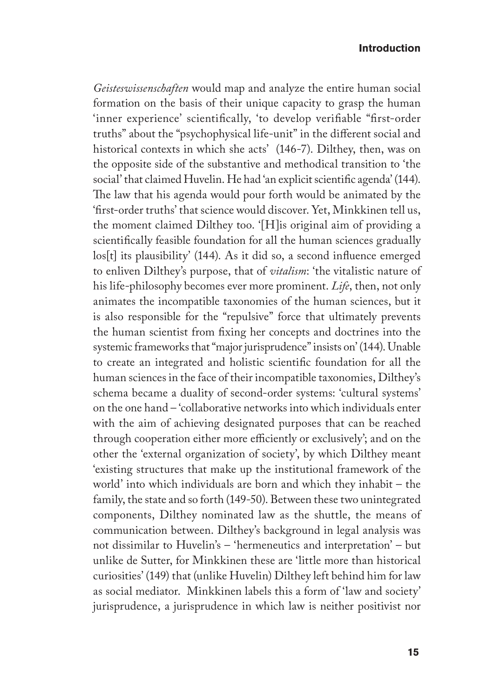*Geisteswissenschaften* would map and analyze the entire human social formation on the basis of their unique capacity to grasp the human 'inner experience' scientifically, 'to develop verifiable "first-order truths" about the "psychophysical life-unit" in the different social and historical contexts in which she acts' (146-7). Dilthey, then, was on the opposite side of the substantive and methodical transition to 'the social' that claimed Huvelin. He had 'an explicit scientific agenda' (144). The law that his agenda would pour forth would be animated by the 'first-order truths' that science would discover. Yet, Minkkinen tell us, the moment claimed Dilthey too. '[H]is original aim of providing a scientifically feasible foundation for all the human sciences gradually los[t] its plausibility' (144). As it did so, a second influence emerged to enliven Dilthey's purpose, that of *vitalism*: 'the vitalistic nature of his life-philosophy becomes ever more prominent. *Life*, then, not only animates the incompatible taxonomies of the human sciences, but it is also responsible for the "repulsive" force that ultimately prevents the human scientist from fixing her concepts and doctrines into the systemic frameworks that "major jurisprudence" insists on' (144). Unable to create an integrated and holistic scientific foundation for all the human sciences in the face of their incompatible taxonomies, Dilthey's schema became a duality of second-order systems: 'cultural systems' on the one hand – 'collaborative networks into which individuals enter with the aim of achieving designated purposes that can be reached through cooperation either more efficiently or exclusively'; and on the other the 'external organization of society', by which Dilthey meant 'existing structures that make up the institutional framework of the world' into which individuals are born and which they inhabit – the family, the state and so forth (149-50). Between these two unintegrated components, Dilthey nominated law as the shuttle, the means of communication between. Dilthey's background in legal analysis was not dissimilar to Huvelin's – 'hermeneutics and interpretation' – but unlike de Sutter, for Minkkinen these are 'little more than historical curiosities' (149) that (unlike Huvelin) Dilthey left behind him for law as social mediator. Minkkinen labels this a form of 'law and society' jurisprudence, a jurisprudence in which law is neither positivist nor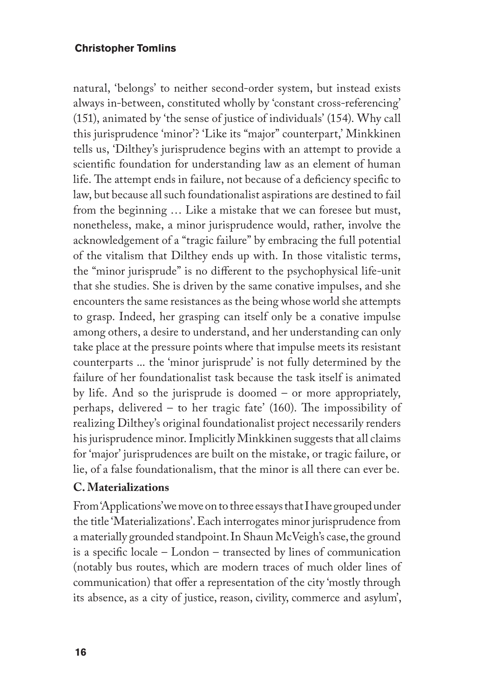natural, 'belongs' to neither second-order system, but instead exists always in-between, constituted wholly by 'constant cross-referencing' (151), animated by 'the sense of justice of individuals' (154). Why call this jurisprudence 'minor'? 'Like its "major" counterpart,' Minkkinen tells us, 'Dilthey's jurisprudence begins with an attempt to provide a scientific foundation for understanding law as an element of human life. The attempt ends in failure, not because of a deficiency specific to law, but because all such foundationalist aspirations are destined to fail from the beginning … Like a mistake that we can foresee but must, nonetheless, make, a minor jurisprudence would, rather, involve the acknowledgement of a "tragic failure" by embracing the full potential of the vitalism that Dilthey ends up with. In those vitalistic terms, the "minor jurisprude" is no different to the psychophysical life-unit that she studies. She is driven by the same conative impulses, and she encounters the same resistances as the being whose world she attempts to grasp. Indeed, her grasping can itself only be a conative impulse among others, a desire to understand, and her understanding can only take place at the pressure points where that impulse meets its resistant counterparts ... the 'minor jurisprude' is not fully determined by the failure of her foundationalist task because the task itself is animated by life. And so the jurisprude is doomed – or more appropriately, perhaps, delivered – to her tragic fate' (160). The impossibility of realizing Dilthey's original foundationalist project necessarily renders his jurisprudence minor. Implicitly Minkkinen suggests that all claims for 'major' jurisprudences are built on the mistake, or tragic failure, or lie, of a false foundationalism, that the minor is all there can ever be.

#### **C. Materializations**

From 'Applications' we move on to three essays that I have grouped under the title 'Materializations'. Each interrogates minor jurisprudence from a materially grounded standpoint. In Shaun McVeigh's case, the ground is a specific locale – London – transected by lines of communication (notably bus routes, which are modern traces of much older lines of communication) that offer a representation of the city 'mostly through its absence, as a city of justice, reason, civility, commerce and asylum',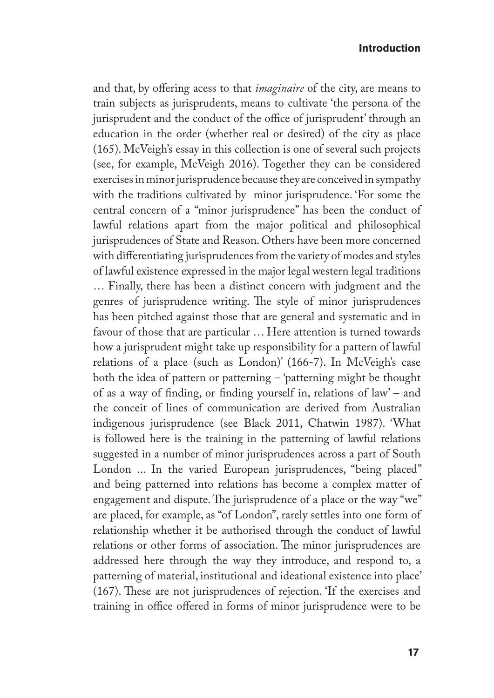and that, by offering acess to that *imaginaire* of the city, are means to train subjects as jurisprudents, means to cultivate 'the persona of the jurisprudent and the conduct of the office of jurisprudent' through an education in the order (whether real or desired) of the city as place (165). McVeigh's essay in this collection is one of several such projects (see, for example, McVeigh 2016). Together they can be considered exercises in minor jurisprudence because they are conceived in sympathy with the traditions cultivated by minor jurisprudence. 'For some the central concern of a "minor jurisprudence" has been the conduct of lawful relations apart from the major political and philosophical jurisprudences of State and Reason. Others have been more concerned with differentiating jurisprudences from the variety of modes and styles of lawful existence expressed in the major legal western legal traditions … Finally, there has been a distinct concern with judgment and the genres of jurisprudence writing. The style of minor jurisprudences has been pitched against those that are general and systematic and in favour of those that are particular … Here attention is turned towards how a jurisprudent might take up responsibility for a pattern of lawful relations of a place (such as London)' (166-7). In McVeigh's case both the idea of pattern or patterning – 'patterning might be thought of as a way of finding, or finding yourself in, relations of law' – and the conceit of lines of communication are derived from Australian indigenous jurisprudence (see Black 2011, Chatwin 1987). 'What is followed here is the training in the patterning of lawful relations suggested in a number of minor jurisprudences across a part of South London ... In the varied European jurisprudences, "being placed" and being patterned into relations has become a complex matter of engagement and dispute. The jurisprudence of a place or the way "we" are placed, for example, as "of London", rarely settles into one form of relationship whether it be authorised through the conduct of lawful relations or other forms of association. The minor jurisprudences are addressed here through the way they introduce, and respond to, a patterning of material, institutional and ideational existence into place' (167). These are not jurisprudences of rejection. 'If the exercises and training in office offered in forms of minor jurisprudence were to be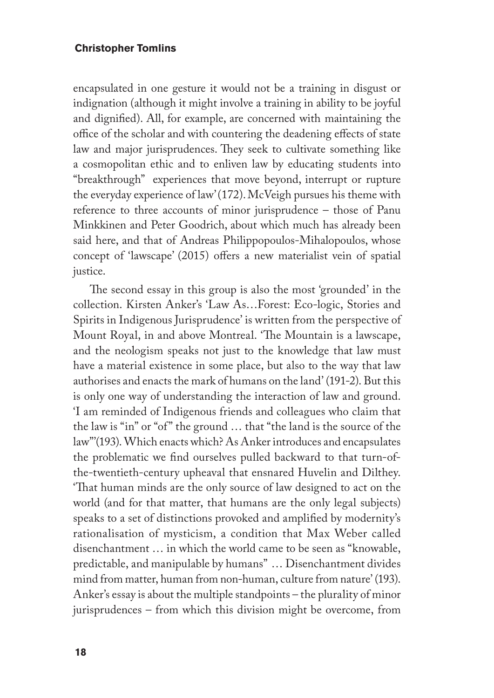encapsulated in one gesture it would not be a training in disgust or indignation (although it might involve a training in ability to be joyful and dignified). All, for example, are concerned with maintaining the office of the scholar and with countering the deadening effects of state law and major jurisprudences. They seek to cultivate something like a cosmopolitan ethic and to enliven law by educating students into "breakthrough" experiences that move beyond, interrupt or rupture the everyday experience of law' (172). McVeigh pursues his theme with reference to three accounts of minor jurisprudence – those of Panu Minkkinen and Peter Goodrich, about which much has already been said here, and that of Andreas Philippopoulos-Mihalopoulos, whose concept of 'lawscape' (2015) offers a new materialist vein of spatial justice.

The second essay in this group is also the most 'grounded' in the collection. Kirsten Anker's 'Law As…Forest: Eco-logic, Stories and Spirits in Indigenous Jurisprudence' is written from the perspective of Mount Royal, in and above Montreal. 'The Mountain is a lawscape, and the neologism speaks not just to the knowledge that law must have a material existence in some place, but also to the way that law authorises and enacts the mark of humans on the land' (191-2). But this is only one way of understanding the interaction of law and ground. 'I am reminded of Indigenous friends and colleagues who claim that the law is "in" or "of" the ground … that "the land is the source of the law"'(193). Which enacts which? As Anker introduces and encapsulates the problematic we find ourselves pulled backward to that turn-ofthe-twentieth-century upheaval that ensnared Huvelin and Dilthey. 'That human minds are the only source of law designed to act on the world (and for that matter, that humans are the only legal subjects) speaks to a set of distinctions provoked and amplified by modernity's rationalisation of mysticism, a condition that Max Weber called disenchantment … in which the world came to be seen as "knowable, predictable, and manipulable by humans" … Disenchantment divides mind from matter, human from non-human, culture from nature' (193). Anker's essay is about the multiple standpoints – the plurality of minor jurisprudences – from which this division might be overcome, from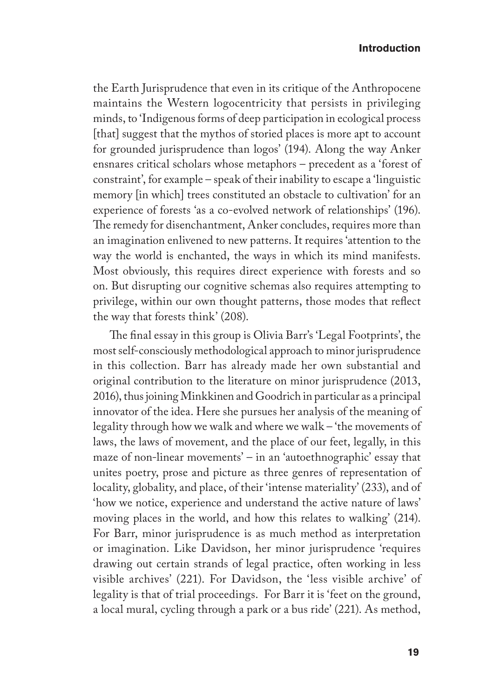the Earth Jurisprudence that even in its critique of the Anthropocene maintains the Western logocentricity that persists in privileging minds, to 'Indigenous forms of deep participation in ecological process [that] suggest that the mythos of storied places is more apt to account for grounded jurisprudence than logos' (194). Along the way Anker ensnares critical scholars whose metaphors – precedent as a 'forest of constraint', for example – speak of their inability to escape a 'linguistic memory [in which] trees constituted an obstacle to cultivation' for an experience of forests 'as a co-evolved network of relationships' (196). The remedy for disenchantment, Anker concludes, requires more than an imagination enlivened to new patterns. It requires 'attention to the way the world is enchanted, the ways in which its mind manifests. Most obviously, this requires direct experience with forests and so on. But disrupting our cognitive schemas also requires attempting to privilege, within our own thought patterns, those modes that reflect the way that forests think' (208).

The final essay in this group is Olivia Barr's 'Legal Footprints', the most self-consciously methodological approach to minor jurisprudence in this collection. Barr has already made her own substantial and original contribution to the literature on minor jurisprudence (2013, 2016), thus joining Minkkinen and Goodrich in particular as a principal innovator of the idea. Here she pursues her analysis of the meaning of legality through how we walk and where we walk – 'the movements of laws, the laws of movement, and the place of our feet, legally, in this maze of non-linear movements' – in an 'autoethnographic' essay that unites poetry, prose and picture as three genres of representation of locality, globality, and place, of their 'intense materiality' (233), and of 'how we notice, experience and understand the active nature of laws' moving places in the world, and how this relates to walking' (214). For Barr, minor jurisprudence is as much method as interpretation or imagination. Like Davidson, her minor jurisprudence 'requires drawing out certain strands of legal practice, often working in less visible archives' (221). For Davidson, the 'less visible archive' of legality is that of trial proceedings. For Barr it is 'feet on the ground, a local mural, cycling through a park or a bus ride' (221). As method,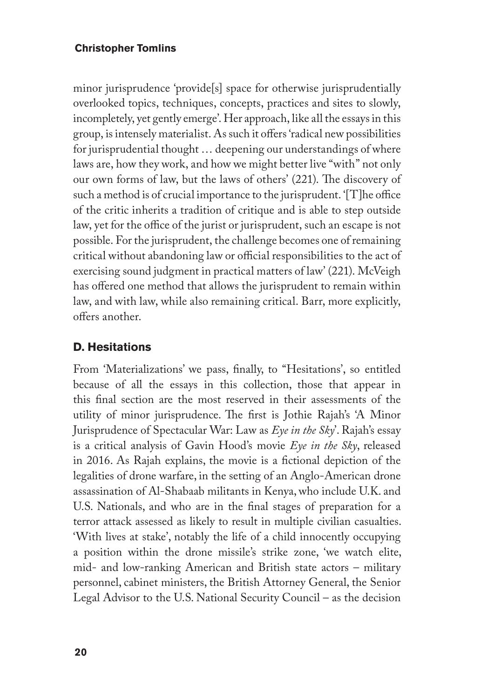minor jurisprudence 'provide[s] space for otherwise jurisprudentially overlooked topics, techniques, concepts, practices and sites to slowly, incompletely, yet gently emerge'. Her approach, like all the essays in this group, is intensely materialist. As such it offers 'radical new possibilities for jurisprudential thought … deepening our understandings of where laws are, how they work, and how we might better live "with" not only our own forms of law, but the laws of others' (221). The discovery of such a method is of crucial importance to the jurisprudent. '[T]he office of the critic inherits a tradition of critique and is able to step outside law, yet for the office of the jurist or jurisprudent, such an escape is not possible. For the jurisprudent, the challenge becomes one of remaining critical without abandoning law or official responsibilities to the act of exercising sound judgment in practical matters of law' (221). McVeigh has offered one method that allows the jurisprudent to remain within law, and with law, while also remaining critical. Barr, more explicitly, offers another.

## **D. Hesitations**

From 'Materializations' we pass, finally, to "Hesitations', so entitled because of all the essays in this collection, those that appear in this final section are the most reserved in their assessments of the utility of minor jurisprudence. The first is Jothie Rajah's 'A Minor Jurisprudence of Spectacular War: Law as *Eye in the Sky*'. Rajah's essay is a critical analysis of Gavin Hood's movie *Eye in the Sky*, released in 2016. As Rajah explains, the movie is a fictional depiction of the legalities of drone warfare, in the setting of an Anglo-American drone assassination of Al-Shabaab militants in Kenya, who include U.K. and U.S. Nationals, and who are in the final stages of preparation for a terror attack assessed as likely to result in multiple civilian casualties. 'With lives at stake', notably the life of a child innocently occupying a position within the drone missile's strike zone, 'we watch elite, mid- and low-ranking American and British state actors – military personnel, cabinet ministers, the British Attorney General, the Senior Legal Advisor to the U.S. National Security Council – as the decision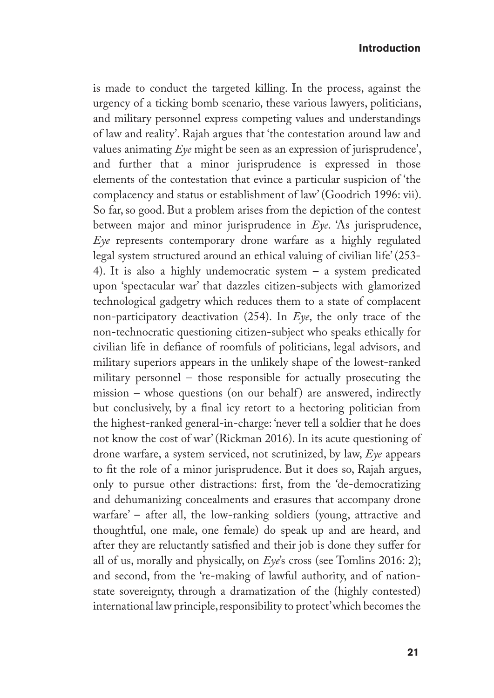is made to conduct the targeted killing. In the process, against the urgency of a ticking bomb scenario, these various lawyers, politicians, and military personnel express competing values and understandings of law and reality'. Rajah argues that 'the contestation around law and values animating *Eye* might be seen as an expression of jurisprudence', and further that a minor jurisprudence is expressed in those elements of the contestation that evince a particular suspicion of 'the complacency and status or establishment of law' (Goodrich 1996: vii). So far, so good. But a problem arises from the depiction of the contest between major and minor jurisprudence in *Eye*. 'As jurisprudence, *Eye* represents contemporary drone warfare as a highly regulated legal system structured around an ethical valuing of civilian life' (253- 4). It is also a highly undemocratic system – a system predicated upon 'spectacular war' that dazzles citizen-subjects with glamorized technological gadgetry which reduces them to a state of complacent non-participatory deactivation (254). In *Eye*, the only trace of the non-technocratic questioning citizen-subject who speaks ethically for civilian life in defiance of roomfuls of politicians, legal advisors, and military superiors appears in the unlikely shape of the lowest-ranked military personnel – those responsible for actually prosecuting the  $mission$  – whose questions (on our behalf) are answered, indirectly but conclusively, by a final icy retort to a hectoring politician from the highest-ranked general-in-charge: 'never tell a soldier that he does not know the cost of war' (Rickman 2016). In its acute questioning of drone warfare, a system serviced, not scrutinized, by law, *Eye* appears to fit the role of a minor jurisprudence. But it does so, Rajah argues, only to pursue other distractions: first, from the 'de-democratizing and dehumanizing concealments and erasures that accompany drone warfare' – after all, the low-ranking soldiers (young, attractive and thoughtful, one male, one female) do speak up and are heard, and after they are reluctantly satisfied and their job is done they suffer for all of us, morally and physically, on *Eye*'s cross (see Tomlins 2016: 2); and second, from the 're-making of lawful authority, and of nationstate sovereignty, through a dramatization of the (highly contested) international law principle, responsibility to protect' which becomes the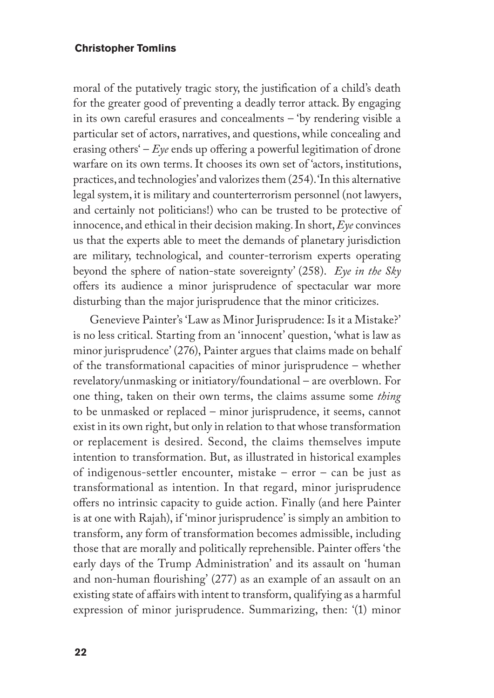moral of the putatively tragic story, the justification of a child's death for the greater good of preventing a deadly terror attack. By engaging in its own careful erasures and concealments – 'by rendering visible a particular set of actors, narratives, and questions, while concealing and erasing others' – *Eye* ends up offering a powerful legitimation of drone warfare on its own terms. It chooses its own set of 'actors, institutions, practices, and technologies' and valorizes them (254). 'In this alternative legal system, it is military and counterterrorism personnel (not lawyers, and certainly not politicians!) who can be trusted to be protective of innocence, and ethical in their decision making. In short, *Eye* convinces us that the experts able to meet the demands of planetary jurisdiction are military, technological, and counter-terrorism experts operating beyond the sphere of nation-state sovereignty' (258). *Eye in the Sky* offers its audience a minor jurisprudence of spectacular war more disturbing than the major jurisprudence that the minor criticizes.

Genevieve Painter's 'Law as Minor Jurisprudence: Is it a Mistake?' is no less critical. Starting from an 'innocent' question, 'what is law as minor jurisprudence' (276), Painter argues that claims made on behalf of the transformational capacities of minor jurisprudence – whether revelatory/unmasking or initiatory/foundational – are overblown. For one thing, taken on their own terms, the claims assume some *thing* to be unmasked or replaced – minor jurisprudence, it seems, cannot exist in its own right, but only in relation to that whose transformation or replacement is desired. Second, the claims themselves impute intention to transformation. But, as illustrated in historical examples of indigenous-settler encounter, mistake – error – can be just as transformational as intention. In that regard, minor jurisprudence offers no intrinsic capacity to guide action. Finally (and here Painter is at one with Rajah), if 'minor jurisprudence' is simply an ambition to transform, any form of transformation becomes admissible, including those that are morally and politically reprehensible. Painter offers 'the early days of the Trump Administration' and its assault on 'human and non-human flourishing' (277) as an example of an assault on an existing state of affairs with intent to transform, qualifying as a harmful expression of minor jurisprudence. Summarizing, then: '(1) minor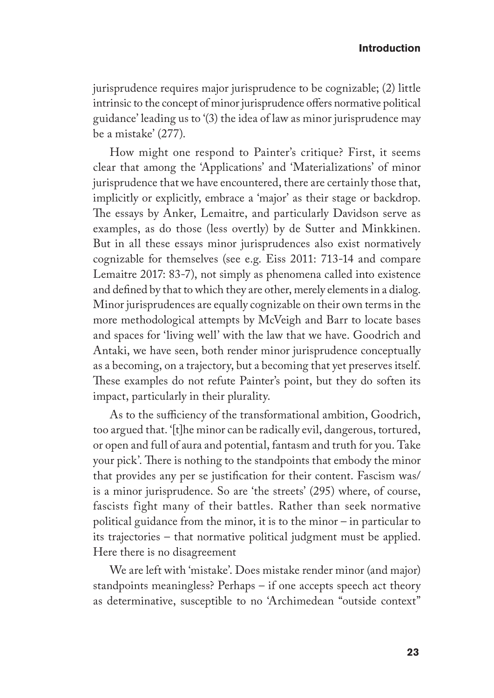jurisprudence requires major jurisprudence to be cognizable; (2) little intrinsic to the concept of minor jurisprudence offers normative political guidance' leading us to '(3) the idea of law as minor jurisprudence may be a mistake' (277).

How might one respond to Painter's critique? First, it seems clear that among the 'Applications' and 'Materializations' of minor jurisprudence that we have encountered, there are certainly those that, implicitly or explicitly, embrace a 'major' as their stage or backdrop. The essays by Anker, Lemaitre, and particularly Davidson serve as examples, as do those (less overtly) by de Sutter and Minkkinen. But in all these essays minor jurisprudences also exist normatively cognizable for themselves (see e.g. Eiss 2011: 713-14 and compare Lemaitre 2017: 83-7), not simply as phenomena called into existence and defined by that to which they are other, merely elements in a dialog. Minor jurisprudences are equally cognizable on their own terms in the more methodological attempts by McVeigh and Barr to locate bases and spaces for 'living well' with the law that we have. Goodrich and Antaki, we have seen, both render minor jurisprudence conceptually as a becoming, on a trajectory, but a becoming that yet preserves itself. These examples do not refute Painter's point, but they do soften its impact, particularly in their plurality.

As to the sufficiency of the transformational ambition, Goodrich, too argued that. '[t]he minor can be radically evil, dangerous, tortured, or open and full of aura and potential, fantasm and truth for you. Take your pick'. There is nothing to the standpoints that embody the minor that provides any per se justification for their content. Fascism was/ is a minor jurisprudence. So are 'the streets' (295) where, of course, fascists fight many of their battles. Rather than seek normative political guidance from the minor, it is to the minor – in particular to its trajectories – that normative political judgment must be applied. Here there is no disagreement

We are left with 'mistake'. Does mistake render minor (and major) standpoints meaningless? Perhaps – if one accepts speech act theory as determinative, susceptible to no 'Archimedean "outside context"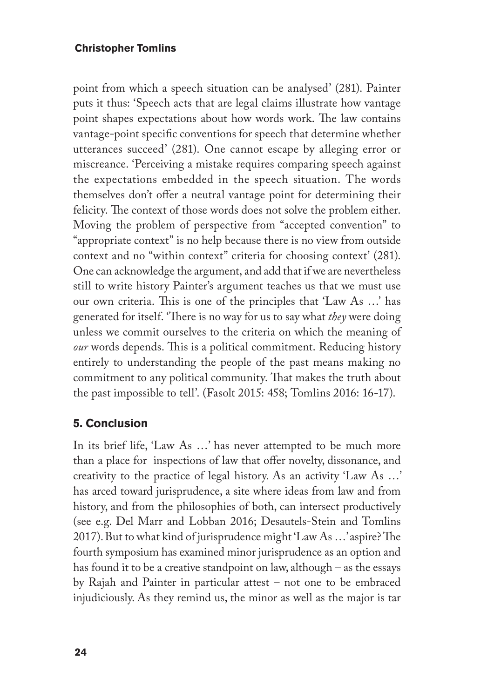point from which a speech situation can be analysed' (281). Painter puts it thus: 'Speech acts that are legal claims illustrate how vantage point shapes expectations about how words work. The law contains vantage-point specific conventions for speech that determine whether utterances succeed' (281). One cannot escape by alleging error or miscreance. 'Perceiving a mistake requires comparing speech against the expectations embedded in the speech situation. The words themselves don't offer a neutral vantage point for determining their felicity. The context of those words does not solve the problem either. Moving the problem of perspective from "accepted convention" to "appropriate context" is no help because there is no view from outside context and no "within context" criteria for choosing context' (281). One can acknowledge the argument, and add that if we are nevertheless still to write history Painter's argument teaches us that we must use our own criteria. This is one of the principles that 'Law As …' has generated for itself. 'There is no way for us to say what *they* were doing unless we commit ourselves to the criteria on which the meaning of *our* words depends. This is a political commitment. Reducing history entirely to understanding the people of the past means making no commitment to any political community. That makes the truth about the past impossible to tell'. (Fasolt 2015: 458; Tomlins 2016: 16-17).

## **5. Conclusion**

In its brief life, 'Law As …' has never attempted to be much more than a place for inspections of law that offer novelty, dissonance, and creativity to the practice of legal history. As an activity 'Law As …' has arced toward jurisprudence, a site where ideas from law and from history, and from the philosophies of both, can intersect productively (see e.g. Del Marr and Lobban 2016; Desautels-Stein and Tomlins 2017). But to what kind of jurisprudence might 'Law As …' aspire? The fourth symposium has examined minor jurisprudence as an option and has found it to be a creative standpoint on law, although – as the essays by Rajah and Painter in particular attest – not one to be embraced injudiciously. As they remind us, the minor as well as the major is tar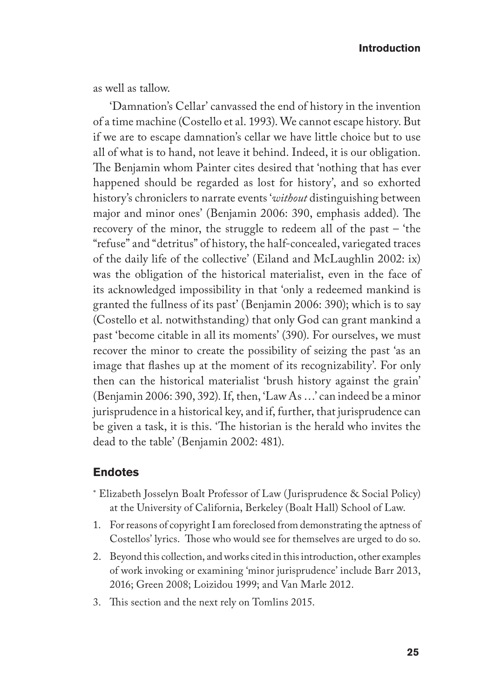as well as tallow.

'Damnation's Cellar' canvassed the end of history in the invention of a time machine (Costello et al. 1993). We cannot escape history. But if we are to escape damnation's cellar we have little choice but to use all of what is to hand, not leave it behind. Indeed, it is our obligation. The Benjamin whom Painter cites desired that 'nothing that has ever happened should be regarded as lost for history', and so exhorted history's chroniclers to narrate events '*without* distinguishing between major and minor ones' (Benjamin 2006: 390, emphasis added). The recovery of the minor, the struggle to redeem all of the past – 'the "refuse" and "detritus" of history, the half-concealed, variegated traces of the daily life of the collective' (Eiland and McLaughlin 2002: ix) was the obligation of the historical materialist, even in the face of its acknowledged impossibility in that 'only a redeemed mankind is granted the fullness of its past' (Benjamin 2006: 390); which is to say (Costello et al. notwithstanding) that only God can grant mankind a past 'become citable in all its moments' (390). For ourselves, we must recover the minor to create the possibility of seizing the past 'as an image that flashes up at the moment of its recognizability'. For only then can the historical materialist 'brush history against the grain' (Benjamin 2006: 390, 392). If, then, 'Law As …' can indeed be a minor jurisprudence in a historical key, and if, further, that jurisprudence can be given a task, it is this. 'The historian is the herald who invites the dead to the table' (Benjamin 2002: 481).

#### **Endotes**

- ∗ Elizabeth Josselyn Boalt Professor of Law (Jurisprudence & Social Policy) at the University of California, Berkeley (Boalt Hall) School of Law.
- 1. For reasons of copyright I am foreclosed from demonstrating the aptness of Costellos' lyrics. Those who would see for themselves are urged to do so.
- 2. Beyond this collection, and works cited in this introduction, other examples of work invoking or examining 'minor jurisprudence' include Barr 2013, 2016; Green 2008; Loizidou 1999; and Van Marle 2012.
- 3. This section and the next rely on Tomlins 2015.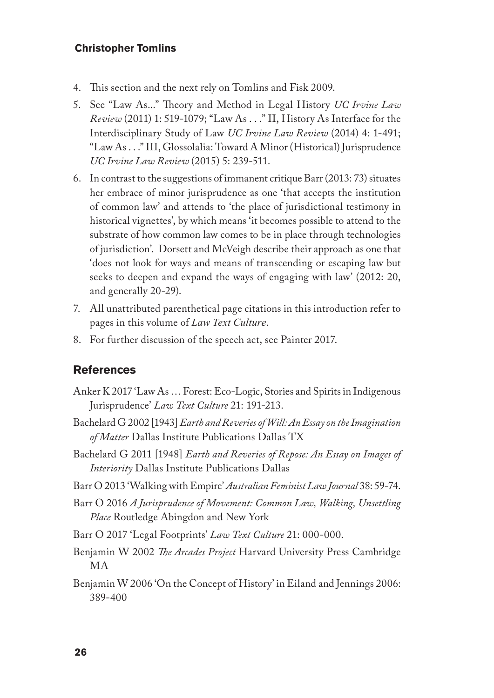- 4. This section and the next rely on Tomlins and Fisk 2009.
- 5. See "Law As..." Theory and Method in Legal History *UC Irvine Law Review* (2011) 1: 519-1079; "Law As . . ." II, History As Interface for the Interdisciplinary Study of Law *UC Irvine Law Review* (2014) 4: 1-491; "Law As . . ." III, Glossolalia: Toward A Minor (Historical) Jurisprudence *UC Irvine Law Review* (2015) 5: 239-511.
- 6. In contrast to the suggestions of immanent critique Barr (2013: 73) situates her embrace of minor jurisprudence as one 'that accepts the institution of common law' and attends to 'the place of jurisdictional testimony in historical vignettes', by which means 'it becomes possible to attend to the substrate of how common law comes to be in place through technologies of jurisdiction'. Dorsett and McVeigh describe their approach as one that 'does not look for ways and means of transcending or escaping law but seeks to deepen and expand the ways of engaging with law' (2012: 20, and generally 20-29).
- 7. All unattributed parenthetical page citations in this introduction refer to pages in this volume of *Law Text Culture*.
- 8. For further discussion of the speech act, see Painter 2017.

#### **References**

- Anker K 2017 'Law As … Forest: Eco-Logic, Stories and Spirits in Indigenous Jurisprudence' *Law Text Culture* 21: 191-213.
- Bachelard G 2002 [1943] *Earth and Reveries of Will: An Essay on the Imagination of Matter* Dallas Institute Publications Dallas TX
- Bachelard G 2011 [1948] *Earth and Reveries of Repose: An Essay on Images of Interiority* Dallas Institute Publications Dallas
- Barr O 2013 'Walking with Empire' *Australian Feminist Law Journal* 38: 59-74.
- Barr O 2016 *A Jurisprudence of Movement: Common Law, Walking, Unsettling Place* Routledge Abingdon and New York
- Barr O 2017 'Legal Footprints' *Law Text Culture* 21: 000-000.
- Benjamin W 2002 *The Arcades Project* Harvard University Press Cambridge MA
- Benjamin W 2006 'On the Concept of History' in Eiland and Jennings 2006: 389-400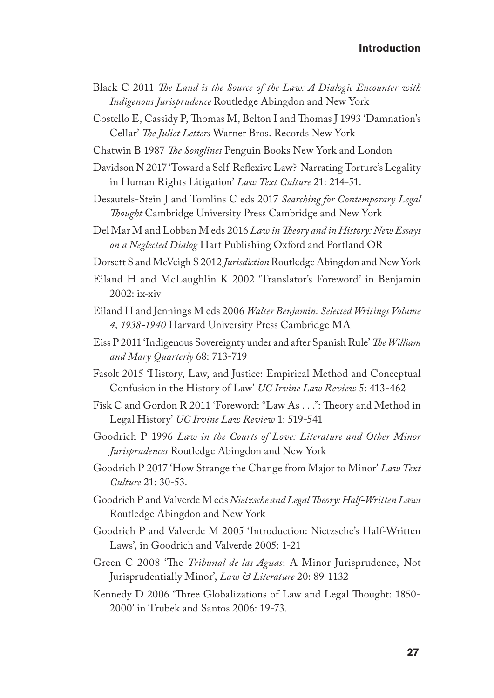- Black C 2011 *The Land is the Source of the Law: A Dialogic Encounter with Indigenous Jurisprudence* Routledge Abingdon and New York
- Costello E, Cassidy P, Thomas M, Belton I and Thomas J 1993 'Damnation's Cellar' *The Juliet Letters* Warner Bros. Records New York
- Chatwin B 1987 *The Songlines* Penguin Books New York and London
- Davidson N 2017 'Toward a Self-Reflexive Law? Narrating Torture's Legality in Human Rights Litigation' *Law Text Culture* 21: 214-51.
- Desautels-Stein J and Tomlins C eds 2017 *Searching for Contemporary Legal Thought* Cambridge University Press Cambridge and New York
- Del Mar M and Lobban M eds 2016 *Law in Theory and in History: New Essays on a Neglected Dialog* Hart Publishing Oxford and Portland OR
- Dorsett S and McVeigh S 2012 *Jurisdiction* Routledge Abingdon and New York
- Eiland H and McLaughlin K 2002 'Translator's Foreword' in Benjamin 2002: ix-xiv
- Eiland H and Jennings M eds 2006 *Walter Benjamin: Selected Writings Volume 4, 1938-1940* Harvard University Press Cambridge MA
- Eiss P 2011 'Indigenous Sovereignty under and after Spanish Rule' *The William and Mary Quarterly* 68: 713-719
- Fasolt 2015 'History, Law, and Justice: Empirical Method and Conceptual Confusion in the History of Law' *UC Irvine Law Review* 5: 413-462
- Fisk C and Gordon R 2011 'Foreword: "Law As . . .": Theory and Method in Legal History' *UC Irvine Law Review* 1: 519-541
- Goodrich P 1996 *Law in the Courts of Love: Literature and Other Minor Jurisprudences* Routledge Abingdon and New York
- Goodrich P 2017 'How Strange the Change from Major to Minor' *Law Text Culture* 21: 30-53.
- Goodrich P and Valverde M eds *Nietzsche and Legal Theory: Half-Written Laws* Routledge Abingdon and New York
- Goodrich P and Valverde M 2005 'Introduction: Nietzsche's Half-Written Laws', in Goodrich and Valverde 2005: 1-21
- Green C 2008 'The *Tribunal de las Aguas*: A Minor Jurisprudence, Not Jurisprudentially Minor', *Law & Literature* 20: 89-1132
- Kennedy D 2006 'Three Globalizations of Law and Legal Thought: 1850- 2000' in Trubek and Santos 2006: 19-73.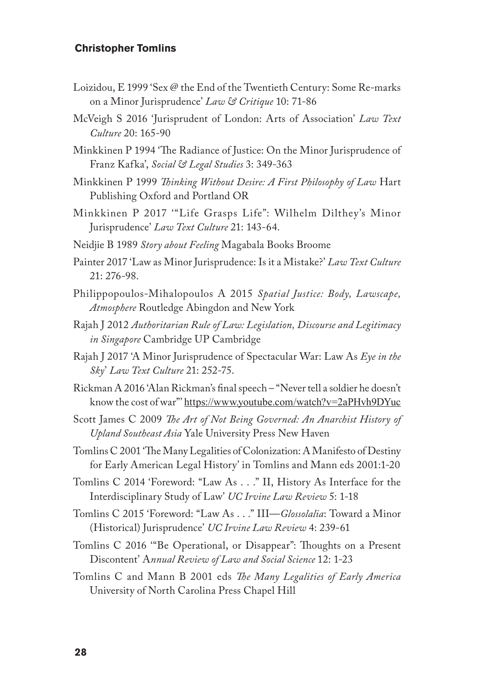- Loizidou, E 1999 'Sex @ the End of the Twentieth Century: Some Re-marks on a Minor Jurisprudence' *Law & Critique* 10: 71-86
- McVeigh S 2016 'Jurisprudent of London: Arts of Association' *Law Text Culture* 20: 165-90
- Minkkinen P 1994 'The Radiance of Justice: On the Minor Jurisprudence of Franz Kafka', *Social & Legal Studies* 3: 349-363
- Minkkinen P 1999 *Thinking Without Desire: A First Philosophy of Law* Hart Publishing Oxford and Portland OR
- Minkkinen P 2017 '"Life Grasps Life": Wilhelm Dilthey's Minor Jurisprudence' *Law Text Culture* 21: 143-64.
- Neidjie B 1989 *Story about Feeling* Magabala Books Broome
- Painter 2017 'Law as Minor Jurisprudence: Is it a Mistake?' *Law Text Culture* 21: 276-98.
- Philippopoulos-Mihalopoulos A 2015 *Spatial Justice: Body, Lawscape, Atmosphere* Routledge Abingdon and New York
- Rajah J 2012 *Authoritarian Rule of Law: Legislation, Discourse and Legitimacy in Singapore* Cambridge UP Cambridge
- Rajah J 2017 'A Minor Jurisprudence of Spectacular War: Law As *Eye in the Sky*' *Law Text Culture* 21: 252-75.
- Rickman A 2016 'Alan Rickman's final speech "Never tell a soldier he doesn't know the cost of war"' https://www.youtube.com/watch?v=2aPHvh9DYuc
- Scott James C 2009 *The Art of Not Being Governed: An Anarchist History of Upland Southeast Asia* Yale University Press New Haven
- Tomlins C 2001 'The Many Legalities of Colonization: A Manifesto of Destiny for Early American Legal History' in Tomlins and Mann eds 2001:1-20
- Tomlins C 2014 'Foreword: "Law As . . ." II, History As Interface for the Interdisciplinary Study of Law' *UC Irvine Law Review* 5: 1-18
- Tomlins C 2015 'Foreword: "Law As . . ." III—*Glossolalia*: Toward a Minor (Historical) Jurisprudence' *UC Irvine Law Review* 4: 239-61
- Tomlins C 2016 '"Be Operational, or Disappear": Thoughts on a Present Discontent' A*nnual Review of Law and Social Science* 12: 1-23
- Tomlins C and Mann B 2001 eds *The Many Legalities of Early America*  University of North Carolina Press Chapel Hill